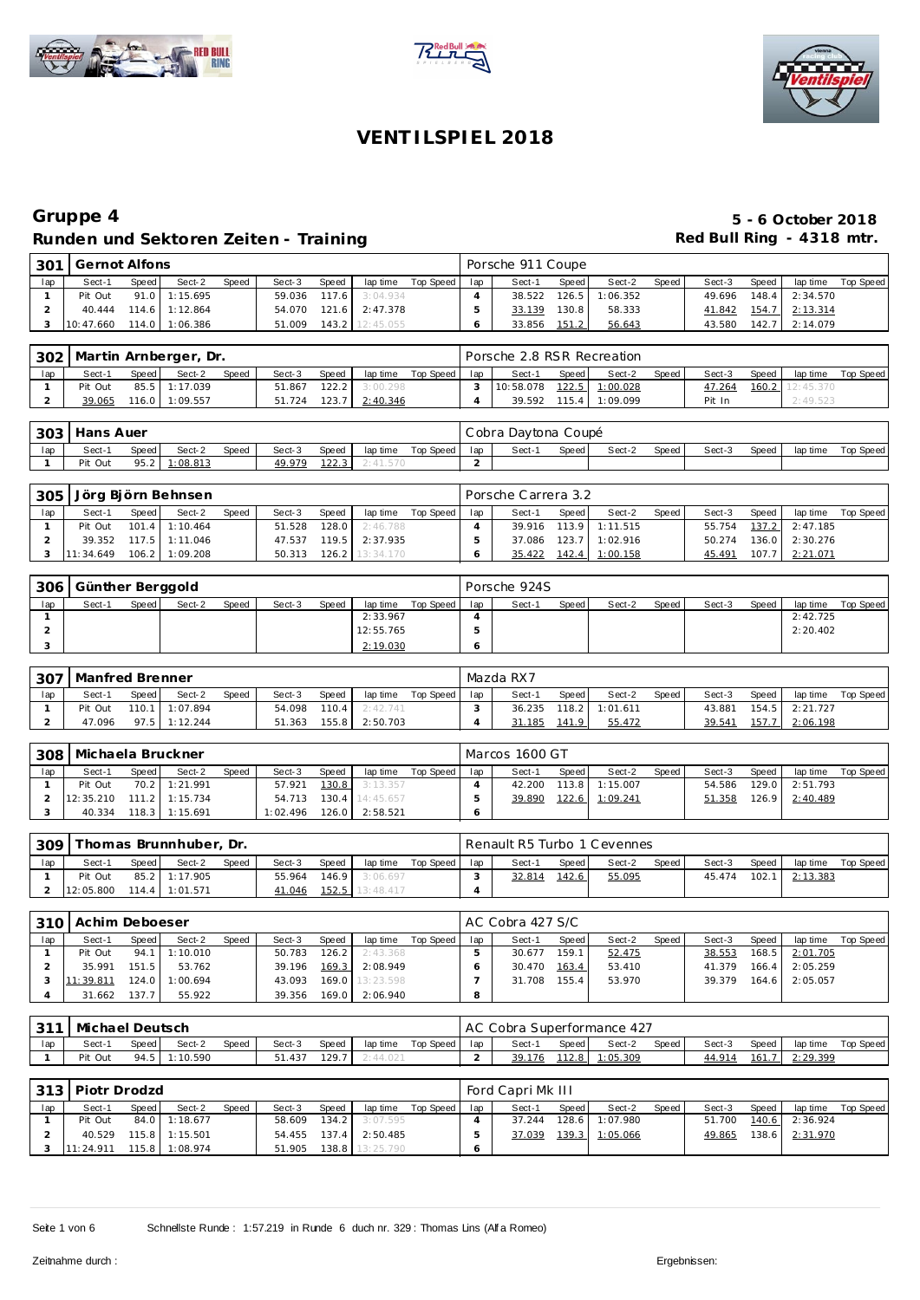





| 301    | Gernot Alfons |       |                  |       |        |       |                       |             |     | Porsche 911 Coupe |       |                  |       |        |       |                |           |
|--------|---------------|-------|------------------|-------|--------|-------|-----------------------|-------------|-----|-------------------|-------|------------------|-------|--------|-------|----------------|-----------|
| $I$ ap | Sect-1        | Speed | Sect-2           | Speed | Sect-3 | Speed | lap time              | Top Speed I | lap | Sect-1            | Speed | Sect-2           | Speed | Sect-3 | Speed | lap time       | Top Speed |
|        | Pit Out       |       | 91.0 1:15.695    |       |        |       | 59.036 117.6 3:04.934 |             |     | 38.522            |       | $126.5$ 1:06.352 |       | 49.696 |       | 148.4 2:34.570 |           |
|        | 40.444        |       | $114.6$ 1:12.864 |       |        |       | 54.070 121.6 2:47.378 |             |     | 33.139            | 130.8 | 58.333           |       | 41.842 |       | 154.7 2:13.314 |           |
|        | 3 10:47.660   |       | 114.0 1:06.386   |       | 51.009 |       | 143.2 12:45.055       |             |     | 33.856            | 151.2 | 56.643           |       | 43.580 |       | 142.7 2:14.079 |           |

| 302 |         |       | Martin Arnberger, Dr. |       |        |       |          |           |     | Porsche 2.8 RSR Recreation |         |                  |       |        |       |                 |           |
|-----|---------|-------|-----------------------|-------|--------|-------|----------|-----------|-----|----------------------------|---------|------------------|-------|--------|-------|-----------------|-----------|
| lap | Sect-1  | Speed | Sect-2                | Speed | Sect-3 | Speed | lap time | Top Speed | lap | Sect-1                     | Speed I | Sect-2           | Speed | Sect-3 | Speed | lap time        | Top Speed |
|     | Pit Out |       | 85.5 1:17.039         |       | 51.867 | 122.2 | 3:00.298 |           |     | 10:58.078                  |         | 122.5 1:00.028   |       | 47.264 |       | 160.2 12:45.370 |           |
|     | 39.065  |       | 116.0 1:09.557        |       | 51.724 | 123.7 | 2:40.346 |           |     | 39.592                     |         | $115.4$ 1:09.099 |       | Pit In |       | 2:49.523        |           |

|     | 303 Hans Auer |       |               |       |        |       |          |           |        | Cobra Daytona Coupé |       |        |         |        |       |          |           |
|-----|---------------|-------|---------------|-------|--------|-------|----------|-----------|--------|---------------------|-------|--------|---------|--------|-------|----------|-----------|
| lap | Sect-1        | Speed | Sect-2        | Speed | Sect-3 | Speed | lap time | Top Speed | $ $ ap | Sect-1              | Speed | Sect-2 | Speed I | Sect-3 | Speed | lap time | Top Speed |
|     | Pit Out       |       | 95.2 1:08.813 |       | 49.979 | 122.3 | 2:41.570 |           |        |                     |       |        |         |        |       |          |           |

| 305 |                     |       | Jörg Björn Behnsen |       |        |       |                       |                    |     | Porsche Carrera 3.2 |       |                |       |        |       |                       |           |
|-----|---------------------|-------|--------------------|-------|--------|-------|-----------------------|--------------------|-----|---------------------|-------|----------------|-------|--------|-------|-----------------------|-----------|
| lap | Sect-1              | Speed | Sect-2             | Speed | Sect-3 | Speed |                       | lap time Top Speed | lap | Sect-1              | Speed | Sect-2         | Speed | Sect-3 | Speed | lap time              | Top Speed |
|     | Pit Out             |       | $101.4$ 1:10.464   |       | 51.528 |       | 128.0 2:46.788        |                    |     | 39.916              |       | 113.9 1:11.515 |       |        |       | 55.754 137.2 2:47.185 |           |
|     | 39.352              |       | $117.5$ 1:11.046   |       |        |       | 47.537 119.5 2:37.935 |                    |     | 37.086              |       | 123.7 1:02.916 |       | 50.274 |       | 136.0 2:30.276        |           |
|     | $3 \quad 11:34.649$ |       | 106.2 1:09.208     |       | 50.313 |       | 126.2 13:34.170       |                    |     | 35.422              |       | 142.4 1:00.158 |       | 45.491 | 107.7 | 2:21.071              |           |

| 306 | Günther Berggold |       |        |              |        |       |           |           |     | Porsche 924S |       |        |       |        |       |          |           |
|-----|------------------|-------|--------|--------------|--------|-------|-----------|-----------|-----|--------------|-------|--------|-------|--------|-------|----------|-----------|
| lap | Sect-1           | Speed | Sect-2 | <b>Speed</b> | Sect-3 | Speed | lap time  | Top Speed | lap | Sect-1       | Speed | Sect-2 | Speed | Sect-3 | Speed | lap time | Top Speed |
|     |                  |       |        |              |        |       | 2:33.967  |           |     |              |       |        |       |        |       | 2:42.725 |           |
|     |                  |       |        |              |        |       | 12:55.765 |           |     |              |       |        |       |        |       | 2:20.402 |           |
|     |                  |       |        |              |        |       | 2:19.030  |           |     |              |       |        |       |        |       |          |           |

| $-307$ | Manfred Brenner |         |                 |       |        |       |                       |           |     | Mazda RX7 |         |                |       |        |       |                |           |
|--------|-----------------|---------|-----------------|-------|--------|-------|-----------------------|-----------|-----|-----------|---------|----------------|-------|--------|-------|----------------|-----------|
| lap    | Sect-1          | Speed I | Sect-2          | Speed | Sect-3 | Speed | lap time              | Top Speed | lap | Sect-1    | Speed I | Sect-2         | Speed | Sect-3 | Speed | lap time       | Top Speed |
|        | Pit Out         |         | 110.1 1:07.894  |       | 54.098 |       | <b>110.4</b> 2:42.741 |           |     | 36.235    |         | 118.2 1:01.611 |       | 43.881 |       | 154.5 2:21.727 |           |
|        | 47.096          |         | $97.5$ 1:12.244 |       | 51.363 |       | 155.8 2:50.703        |           |     | 31.185    | 141.9   | 55.472         |       | 39.541 | 157.7 | 2:06.198       |           |

| 308 | Michaela Bruckner |       |                  |              |          |       |                       |           |     | Marcos 1600 GT |       |                |       |        |       |                  |           |
|-----|-------------------|-------|------------------|--------------|----------|-------|-----------------------|-----------|-----|----------------|-------|----------------|-------|--------|-------|------------------|-----------|
| lap | Sect-1            | Speed | Sect-2           | <b>Speed</b> | Sect-3   | Speed | lap time              | Top Speed | lap | Sect-1         | Speed | Sect-2         | Speed | Sect-3 | Speed | lap time         | Top Speed |
|     | Pit Out           |       | 70.2 1:21.991    |              | 57.921   |       | <b>130.8</b> 3:13.357 |           |     | 42.200         |       | 113.8 1:15.007 |       | 54.586 |       | $129.0$ 2:51.793 |           |
|     | 12:35.210         |       | $111.2$ 1:15.734 |              | 54.713   |       | 130.4 14:45.657       |           |     | 39.890         |       | 122.6 1:09.241 |       | 51.358 |       | 126.9 2:40.489   |           |
|     | 40.334            |       | 118.3 1:15.691   |              | 1:02.496 |       | 126.0 2:58.521        |           |     |                |       |                |       |        |       |                  |           |

| 309 |           |       | Thomas Brunnhuber, Dr. |       |        |       |                 |             |     | Renault R5 Turbo 1 Cevennes |       |        |       |        |       |          |           |
|-----|-----------|-------|------------------------|-------|--------|-------|-----------------|-------------|-----|-----------------------------|-------|--------|-------|--------|-------|----------|-----------|
| lap | Sect-1    | Speed | Sect-2                 | Speed | Sect-3 | Speed | lap time        | Top Speed I | lap | Sect-1                      | Speed | Sect-2 | Speed | Sect-3 | Speed | lap time | Top Speed |
|     | Pit Out   |       | 85.2 1:17.905          |       | 55.964 | 146.9 | 3:06.697        |             |     | 32.814                      | 142.6 | 55.095 |       | 45.474 | 102.7 | 2:13.383 |           |
|     | 12:05.800 |       | $114.4$ 1:01.571       |       | 41.046 |       | 152.5 13:48.417 |             |     |                             |       |        |       |        |       |          |           |

| 310 | l Achim Deboeser |                    |          |       |        |       |                 |           |     | AC Cobra 427 S/C |       |        |       |        |       |                |           |
|-----|------------------|--------------------|----------|-------|--------|-------|-----------------|-----------|-----|------------------|-------|--------|-------|--------|-------|----------------|-----------|
| lap | Sect-1           | Speed              | Sect-2   | Speed | Sect-3 | Speed | lap time        | Top Speed | lap | Sect-1           | Speed | Sect-2 | Speed | Sect-3 | Speed | lap time       | Top Speed |
|     | Pit Out          | 94.1               | 1:10.010 |       | 50.783 | 126.2 | 2:43.368        |           |     | 30.677           | 159.1 | 52.475 |       | 38.553 |       | 168.5 2:01.705 |           |
|     | 35.991           | 151.5              | 53.762   |       | 39.196 | 169.3 | 2:08.949        |           |     | 30.470           | 163.4 | 53.410 |       | 41.379 | 166.4 | 2:05.259       |           |
|     | 11:39.811        | 124.0              | :00.694  |       | 43.093 |       | 169.0 13:23.598 |           |     | 31.708           | 155.4 | 53.970 |       | 39.379 |       | 164.6 2:05.057 |           |
|     | 31.662           | 137.7 <sub>1</sub> | 55.922   |       | 39.356 | 169.0 | 2:06.940        |           | 8   |                  |       |        |       |        |       |                |           |

|     | 1311 Michael Deutsch |       |               |       |        |       |          |                         | AC Cobra Superformance 427 |       |          |       |        |       |               |           |
|-----|----------------------|-------|---------------|-------|--------|-------|----------|-------------------------|----------------------------|-------|----------|-------|--------|-------|---------------|-----------|
| lap | Sect-1               | Speed | Sect-2        | Speed | Sect-3 | Speed |          | laptime Top Speed   lap | Sect-1                     | Speed | Sect-2   | Speed | Sect-3 | Speed | lap time      | Top Speed |
|     | Pit Out              |       | 94.5 1:10.590 |       | 51.437 | 129.7 | 2:44.021 |                         | 39.176                     | 112.8 | 1:05.309 |       | 44.914 | 161.  | $.7$ 2:29.399 |           |

|     | 313   Piotr Drodzd |         |                |       |        |       |                       |           |     | Ford Capri Mk III |       |                |       |        |       |                |           |
|-----|--------------------|---------|----------------|-------|--------|-------|-----------------------|-----------|-----|-------------------|-------|----------------|-------|--------|-------|----------------|-----------|
| lap | Sect-1             | Speed I | Sect-2         | Speed | Sect-3 | Speed | lap time              | Top Speed | lap | Sect-1            | Speed | Sect-2         | Speed | Sect-3 | Speed | lap time       | Top Speed |
|     | Pit Out            |         | 84.0 1:18.677  |       | 58.609 | 134.2 | 3:07.595              |           |     | 37.244            |       | 128.6 1:07.980 |       | 51.700 |       | 140.6 2:36.924 |           |
|     | 40.529             |         | 115.8 1:15.501 |       |        |       | 54.455 137.4 2:50.485 |           |     | 37.039            | 139.3 | 1:05.066       |       | 49.865 |       | 138.6 2:31.970 |           |
|     | 11:24.911          |         | 115.8 1:08.974 |       | 51.905 |       | 138.8 13:25.790       |           |     |                   |       |                |       |        |       |                |           |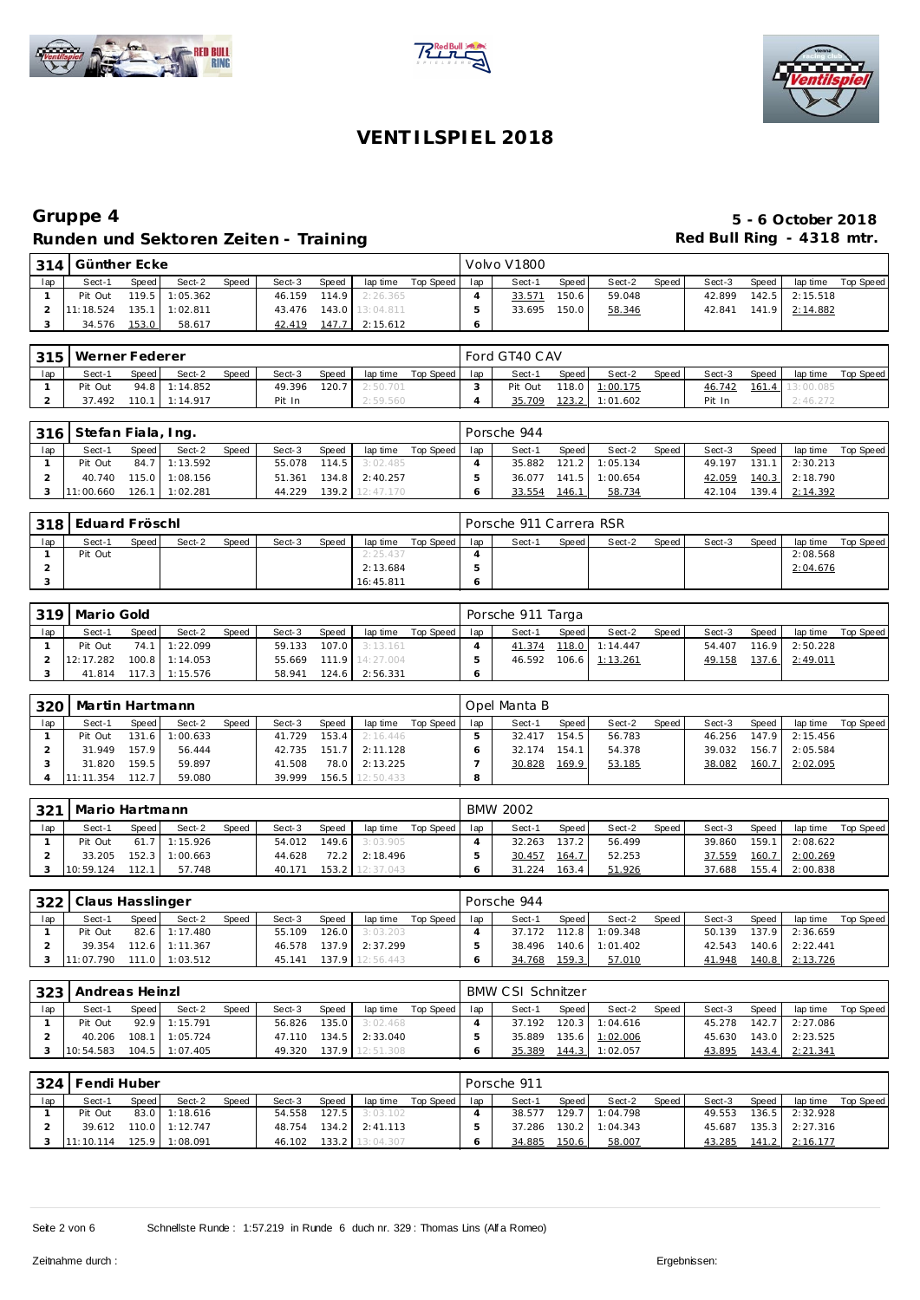





|     | 314   Günther Ecke |        |                  |       |        |       |                  |           |     | Volvo V1800 |       |        |       |        |       |          |           |
|-----|--------------------|--------|------------------|-------|--------|-------|------------------|-----------|-----|-------------|-------|--------|-------|--------|-------|----------|-----------|
| lap | Sect-1             | Speed, | Sect-2           | Speed | Sect-3 | Speed | lap time         | Top Speed | lap | Sect-1      | Speed | Sect-2 | Speed | Sect-3 | Speed | lap time | Top Speed |
|     | Pit Out            |        | $119.5$ 1:05.362 |       | 46.159 |       | $114.9$ 2:26.365 |           |     | 33.571      | 150.6 | 59.048 |       | 42.899 | 142.5 | 2:15.518 |           |
|     | 11:18.524          | 135.1  | 1:02.811         |       | 43.476 |       | 143.0 13:04.811  |           |     | 33.695      | 150.0 | 58.346 |       | 42.841 | 141.9 | 2:14.882 |           |
|     | 34.576             | 153.0  | 58.617           |       | 42.419 | 147.7 | 2:15.612         |           |     |             |       |        |       |        |       |          |           |

| 315 | Werner Federer |       |                  |       |        |       |          |           |     | Ford GT40 CAV |       |          |       |        |       |          |           |
|-----|----------------|-------|------------------|-------|--------|-------|----------|-----------|-----|---------------|-------|----------|-------|--------|-------|----------|-----------|
| lap | Sect-1         | Speed | Sect-2           | Speed | Sect-3 | Speed | lap time | Top Speed | lap | Sect-1        | Speed | Sect-2   | Speed | Sect-3 | Speed | lap time | Top Speed |
|     | Pit Out        |       | 94.8 1:14.852    |       | 49.396 | 120.7 | 2:50.701 |           |     | Pit Out       | 118.0 | 1:00.175 |       | 46.742 | 161.4 |          |           |
|     | 37.492         |       | $110.1$ 1:14.917 |       | Pit In |       | 2:59.560 |           |     | 35.709        | 123.2 | 1:01.602 |       | Pit In |       | 2:46.272 |           |

|     | 316   Stefan Fiala, Ing. |       |                |       |        |       |                       |           |     | Porsche 944 |       |                    |       |        |       |                |           |
|-----|--------------------------|-------|----------------|-------|--------|-------|-----------------------|-----------|-----|-------------|-------|--------------------|-------|--------|-------|----------------|-----------|
| lap | Sect-1                   | Speed | Sect-2         | Speed | Sect-3 | Speed | lap time              | Top Speed | lap | Sect-1      | Speed | Sect-2             | Speed | Sect-3 | Speed | lap time       | Top Speed |
|     | Pit Out                  |       | 84.7 1:13.592  |       |        |       | 55.078 114.5 3:02.485 |           |     | 35.882      |       | 121.2 1:05.134     |       | 49.197 | 131.1 | 2:30.213       |           |
|     | 40.740                   |       | 115.0 1:08.156 |       | 51.361 |       | 134.8 2:40.257        |           |     | 36.077      |       | $141.5$   1:00.654 |       | 42.059 |       | 140.3 2:18.790 |           |
|     | 11:00.660                |       | 126.1 1:02.281 |       | 44.229 |       | 139.2 12:47.170       |           |     | 33.554      | 146.1 | 58.734             |       | 42.104 |       | 139.4 2:14.392 |           |

| 318 | l Eduard Fröschl |       |        |              |        |       |           |           |     | Porsche 911 Carrera RSR |       |        |         |        |       |          |           |
|-----|------------------|-------|--------|--------------|--------|-------|-----------|-----------|-----|-------------------------|-------|--------|---------|--------|-------|----------|-----------|
| lap | Sect-1           | Speed | Sect-2 | <b>Speed</b> | Sect-3 | Speed | lap time  | Top Speed | lap | Sect-1                  | Speed | Sect-2 | Speed i | Sect-3 | Speed | lap time | Top Speed |
|     | Pit Out          |       |        |              |        |       | 2:25.437  |           |     |                         |       |        |         |        |       | 2:08.568 |           |
|     |                  |       |        |              |        |       | 2:13.684  |           |     |                         |       |        |         |        |       | 2:04.676 |           |
|     |                  |       |        |              |        |       | 16:45.811 |           |     |                         |       |        |         |        |       |          |           |

| 319 | l Mario Gold |       |                  |       |        |       |                        |           |     | Porsche 911 Targa |       |                       |       |        |       |                  |           |
|-----|--------------|-------|------------------|-------|--------|-------|------------------------|-----------|-----|-------------------|-------|-----------------------|-------|--------|-------|------------------|-----------|
| lap | Sect-1       | Speed | Sect-2           | Speed | Sect-3 | Speed | lap time               | Top Speed | lap | Sect-1            | Speed | Sect-2                | Speed | Sect-3 | Speed | lap time         | Top Speed |
|     | Pit Out      |       | 74.1 1:22.099    |       |        |       | 59.133 107.0 3:13.161  |           |     | 41.374            |       | 118.0 1:14.447        |       | 54.407 |       | $116.9$ 2:50.228 |           |
|     | 12:17.282    |       | $100.8$ 1:14.053 |       |        |       | 55.669 111.9 14:27.004 |           |     |                   |       | 46.592 106.6 1:13.261 |       | 49.158 |       | 137.6 2:49.011   |           |
|     | 41.814       |       | $117.3$ 1:15.576 |       | 58.941 | 124.6 | 2:56.331               |           |     |                   |       |                       |       |        |       |                  |           |

| 32 <sub>C</sub> | Martin Hartmann |       |          |       |        |         |           |           |     | Opel Manta B |       |        |       |        |       |          |           |
|-----------------|-----------------|-------|----------|-------|--------|---------|-----------|-----------|-----|--------------|-------|--------|-------|--------|-------|----------|-----------|
| lap             | Sect-1          | Speed | Sect-2   | Speed | Sect-3 | Speed   | lap time  | Top Speed | lap | Sect-1       | Speed | Sect-2 | Speed | Sect-3 | Speed | lap time | Top Speed |
|                 | Pit Out         | 131.6 | 1:00.633 |       | 41.729 | 153.4   | 2:16.446  |           |     | 32.417       | 154.5 | 56.783 |       | 46.256 | 147.9 | 2:15.456 |           |
|                 | 31.949          | 157.9 | 56.444   |       | 42.735 | 151.7   | 2.11128   |           |     | 174<br>32.7  | 154.1 | 54.378 |       | 39.032 | 156.7 | 2:05.584 |           |
|                 | 31.820          | 159.5 | 59.897   |       | 41.508 | 78.0    | 2:13.225  |           |     | 30.828       | 169.9 | 53.185 |       | 38.082 | 160.7 | 2:02.095 |           |
|                 | 11:11.354       | 112.7 | 59.080   |       | 39.999 | 156.5 l | 12:50.433 |           |     |              |       |        |       |        |       |          |           |

| 321 | Mario Hartmann |        |                |              |        |       |           |           |     | <b>BMW 2002</b> |       |        |         |        |       |          |           |
|-----|----------------|--------|----------------|--------------|--------|-------|-----------|-----------|-----|-----------------|-------|--------|---------|--------|-------|----------|-----------|
| lap | Sect-1         | Speed  | Sect-2         | <b>Speed</b> | Sect-3 | Speed | lap time  | Top Speed | lap | Sect-1          | Speed | Sect-2 | Speed i | Sect-3 | Speed | lap time | Top Speed |
|     | Pit Out        |        | 61.7 1:15.926  |              | 54.012 | 149.6 | 3:03.905  |           |     | 32.263          | 137.2 | 56.499 |         | 39.860 | 159.1 | 2:08.622 |           |
|     | 33.205         |        | 152.3 1:00.663 |              | 44.628 | 72.2  | 2:18.496  |           |     | 30.457          | 164.7 | 52.253 |         | 37.559 | 160.7 | 2:00.269 |           |
|     | 10:59.124      | 112.11 | 57.748         |              | 40.171 | 153.2 | 12:37.043 |           |     | 31.224          | 163.4 | 51.926 |         | 37.688 | 155.4 | 2:00.838 |           |

|     | 322   Claus Hasslinger |       |                  |       |              |                        |                 |           |     | Porsche 944 |       |                       |       |        |       |                |           |
|-----|------------------------|-------|------------------|-------|--------------|------------------------|-----------------|-----------|-----|-------------|-------|-----------------------|-------|--------|-------|----------------|-----------|
| lap | Sect-1                 | Speed | Sect-2           | Speed | Sect-3       | Speed                  | lap time        | Top Speed | lap | Sect-1      | Speed | Sect-2                | Speed | Sect-3 | Speed | lap time       | Top Speed |
|     | Pit Out                |       | 82.6 1:17.480    |       | 55.109       | $126.0$ $\blacksquare$ | 3:03.203        |           |     |             |       | 37.172 112.8 1:09.348 |       | 50.139 |       | 137.9 2:36.659 |           |
|     | 39.354                 |       | $112.6$ 1:11.367 |       | 46.578 137.9 |                        | 2:37.299        |           |     | 38.496      |       | 140.6 1:01.402        |       | 42.543 |       | 140.6 2:22.441 |           |
|     | 11:07.790              |       | $111.0$ 1:03.512 |       | 45.141       |                        | 137.9 12:56.443 |           |     | 34.768      | 159.3 | 57.010                |       | 41.948 |       | 140.8 2:13.726 |           |

| 323 | Andreas Heinzl |       |                 |              |        |       |                         |           |     | <b>BMW CSI Schnitzer</b> |       |                  |       |        |       |                |           |
|-----|----------------|-------|-----------------|--------------|--------|-------|-------------------------|-----------|-----|--------------------------|-------|------------------|-------|--------|-------|----------------|-----------|
| lap | Sect-1         | Speed | Sect-2          | <b>Speed</b> | Sect-3 | Speed | lap time                | Top Speed | lap | Sect-1                   | Speed | Sect-2           | Speed | Sect-3 | Speed | lap time       | Top Speed |
|     | Pit Out        |       | $92.9$ 1:15.791 |              | 56.826 | 135.0 | 3:02.468                |           |     | 37.192                   |       | $120.3$ 1:04.616 |       | 45.278 |       | 142.7 2:27.086 |           |
|     | 40.206         |       | 108.1 1:05.724  |              |        |       | 47.110  134.5  2:33.040 |           |     | 35.889                   |       | 135.6 1:02.006   |       | 45.630 |       | 143.0 2:23.525 |           |
|     | 10:54.583      |       | 104.5 1:07.405  |              | 49.320 |       | 137.9 12:51.308         |           |     | 35.389                   |       | 144.3 1:02.057   |       | 43.895 |       | 143.4 2:21.341 |           |

| 324 | Fendi Huber |       |                  |       |        |       |                       |           |     | Porsche 911 |       |                  |       |        |       |                    |           |
|-----|-------------|-------|------------------|-------|--------|-------|-----------------------|-----------|-----|-------------|-------|------------------|-------|--------|-------|--------------------|-----------|
| lap | Sect-1      | Speed | Sect-2           | Speed | Sect-3 | Speed | lap time              | Top Speed | lap | Sect-1      | Speed | Sect-2           | Speed | Sect-3 | Speed | lap time           | Top Speed |
|     | Pit Out     |       | $83.0$ 1:18.616  |       | 54.558 | 127.5 | 3:03.102              |           |     | 38.577      |       | 129.7 1:04.798   |       | 49.553 | 136.5 | 2:32.928           |           |
|     | 39.612      |       | $110.0$ 1:12.747 |       |        |       | 48.754 134.2 2:41.113 |           |     | 37.286      |       | $130.2$ 1:04.343 |       | 45.687 |       | $135.3$ $2:27.316$ |           |
|     | 11:10.114   |       | 125.9 1:08.091   |       | 46.102 |       | 133.2 13:04.307       |           |     | 34.885      | 150.6 | 58.007           |       | 43.285 |       | 141.2 2:16.177     |           |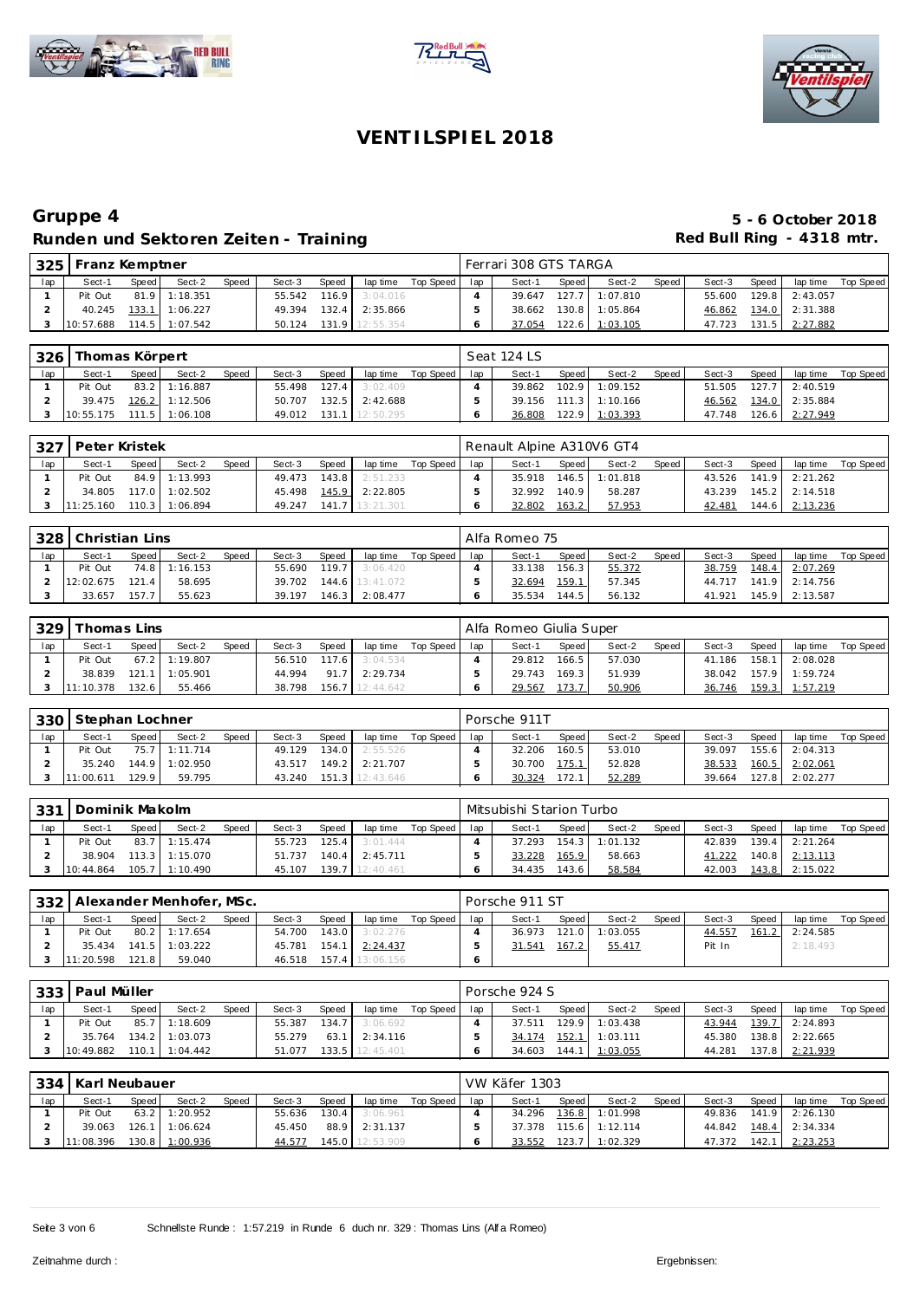





|     |           | 325   Franz Kemptner<br>Speed<br>Speed<br>Speed<br>Sect-2<br>Sect-3<br>Sect-1<br>lap time<br>$81.9$ 1:18.351<br>55.542 116.9 3:04.016<br>Pit Out |                  |  |        |  |                  |           |     | Ferrari 308 GTS TARGA |       |                |       |        |       |                |           |
|-----|-----------|--------------------------------------------------------------------------------------------------------------------------------------------------|------------------|--|--------|--|------------------|-----------|-----|-----------------------|-------|----------------|-------|--------|-------|----------------|-----------|
| lap |           |                                                                                                                                                  |                  |  |        |  |                  | Top Speed | lap | Sect-1                | Speed | Sect-2         | Speed | Sect-3 | Speed | lap time       | Top Speed |
|     |           |                                                                                                                                                  |                  |  |        |  |                  |           |     | 39.647                |       | 127.7 1:07.810 |       | 55.600 | 129.8 | 2:43.057       |           |
|     | 40.245    |                                                                                                                                                  | 133.1 1:06.227   |  | 49.394 |  | $132.4$ 2:35.866 |           |     | 38.662                |       | 130.8 1:05.864 |       | 46.862 |       | 134.0 2:31.388 |           |
|     | 10:57.688 |                                                                                                                                                  | $114.5$ 1:07.542 |  | 50.124 |  | 131.9 12:55.354  |           |     | 37.054                |       | 122.6 1:03.105 |       | 47.723 | 131.5 | 2:27.882       |           |

| 326 l | Thomas Körpert             |       |                         |       |        |       |                        |           |     | Seat 124 LS |       |                       |       |        |       |                       |           |
|-------|----------------------------|-------|-------------------------|-------|--------|-------|------------------------|-----------|-----|-------------|-------|-----------------------|-------|--------|-------|-----------------------|-----------|
| lap   | Sect-1                     | Speed | Sect-2                  | Speed | Sect-3 | Speed | lap time               | Top Speed | lap | Sect-1      | Speed | Sect-2                | Speed | Sect-3 | Speed | lap time              | Top Speed |
|       | Pit Out                    |       | 83.2 1:16.887           |       |        |       | 55.498 127.4 3:02.409  |           |     | 39.862      |       | 102.9 1:09.152        |       | 51.505 | 127.7 | 2:40.519              |           |
|       |                            |       | 39.475  126.2  1:12.506 |       | 50.707 | 132.5 | 2:42.688               |           |     |             |       | 39.156 111.3 1:10.166 |       |        |       | 46.562 134.0 2:35.884 |           |
|       | $10:55.175$ 111.5 1:06.108 |       |                         |       |        |       | 49.012 131.1 12:50.295 |           |     | 36.808      |       | 122.9 1:03.393        |       | 47.748 |       | 126.6 2:27.949        |           |

| 327 | l Peter Kristek |       |                  |       |        |        |                       |             |     | Renault Alpine A310V6 GT4 |         |                |         |        |       |                  |           |
|-----|-----------------|-------|------------------|-------|--------|--------|-----------------------|-------------|-----|---------------------------|---------|----------------|---------|--------|-------|------------------|-----------|
| lap | Sect-1          | Speed | Sect-2           | Speed | Sect-3 | Speed, | lap time              | Top Speed I | lap | Sect-1                    | Speed I | Sect-2         | Speed i | Sect-3 | Speed | lap time         | Top Speed |
|     | Pit Out         |       | 84.9 1:13.993    |       |        |        | 49.473 143.8 2:51.233 |             |     | 35.918                    |         | 146.5 1:01.818 |         | 43.526 |       | 141.9 2:21.262   |           |
|     | 34.805          |       | 117.0 1:02.502   |       |        |        | 45.498 145.9 2:22.805 |             |     | 32.992                    | 140.9   | 58.287         |         | 43.239 |       | $145.2$ 2:14.518 |           |
|     | 11:25.160       |       | $110.3$ 1:06.894 |       | 49.247 |        | $141.7$   13:21.301   |             |     | 32.802                    | 163.2   | 57.953         |         | 42.481 | 144.6 | 2:13.236         |           |

| 328 | Christian Lins |       |               |              |        |       |                       |           |     | Alfa Romeo 75 |       |        |       |        |       |                       |           |
|-----|----------------|-------|---------------|--------------|--------|-------|-----------------------|-----------|-----|---------------|-------|--------|-------|--------|-------|-----------------------|-----------|
| lap | Sect-1         | Speed | Sect-2        | <b>Speed</b> | Sect-3 | Speed | lap time              | Top Speed | lap | Sect-1        | Speed | Sect-2 | Speed | Sect-3 | Speed | lap time              | Top Speed |
|     | Pit Out        |       | 74.8 1:16.153 |              |        |       | 55.690 119.7 3:06.420 |           |     | 33.138        | 156.3 | 55.372 |       | 38.759 | 148.4 | 2:07.269              |           |
|     | 12:02.675      | 121.4 | 58.695        |              | 39.702 |       | 144.6 13:41.072       |           |     | 32.694        | 159.1 | 57.345 |       |        |       | 44.717 141.9 2:14.756 |           |
|     | 33.657         | 157.7 | 55.623        |              | 39.197 |       | 146.3 2:08.477        |           |     | 35.534        | 144.5 | 56.132 |       | 41.921 |       | 145.9 2:13.587        |           |

| 329 | Thomas Lins |        |                |       |        |       |           |           |     | Alfa Romeo Giulia Super |       |        |       |        |       |          |           |
|-----|-------------|--------|----------------|-------|--------|-------|-----------|-----------|-----|-------------------------|-------|--------|-------|--------|-------|----------|-----------|
| lap | Sect-1      | Speed  | Sect-2         | Speed | Sect-3 | Speed | lap time  | Top Speed | lap | Sect-1                  | Speed | Sect-2 | Speed | Sect-3 | Speed | lap time | Top Speed |
|     | Pit Out     |        | 67.2 1:19.807  |       | 56.510 | 117.6 | 3:04.534  |           |     | 29.812                  | 166.5 | 57.030 |       | 41.186 | 158.1 | 2:08.028 |           |
|     | 38.839      |        | 121.1 1:05.901 |       | 44.994 | 91.7  | 2:29.734  |           |     | 29.743                  | 169.3 | 51.939 |       | 38.042 | 157.9 | 1:59.724 |           |
|     | 11:10.378   | 132.61 | 55.466         |       | 38.798 | 156.7 | 12:44.642 |           |     | 29.567                  | 73.7  | 50.906 |       | 36.746 | 159.3 | 1:57.219 |           |

| 330 | Stephan Lochner |       |                |              |        |           |           |           |     | Porsche 911T |       |        |       |        |       |          |           |
|-----|-----------------|-------|----------------|--------------|--------|-----------|-----------|-----------|-----|--------------|-------|--------|-------|--------|-------|----------|-----------|
| lap | Sect-1          | Speed | Sect-2         | <b>Speed</b> | Sect-3 | Speed     | lap time  | Top Speed | lap | Sect-1       | Speed | Sect-2 | Speed | Sect-3 | Speed | lap time | Top Speed |
|     | Pit Out         |       | 75.7 1:11.714  |              | 49.129 | 134.0     | 2:55.526  |           |     | 32.206       | 160.5 | 53.010 |       | 39.097 | 155.6 | 2:04.313 |           |
|     | 35.240          |       | 144.9 1:02.950 |              | 43.517 | $149.2$   | 2:21.707  |           |     | 30.700       | 175.1 | 52.828 |       | 38.533 | 160.5 | 2:02.061 |           |
|     | 11:00.611       | 129.9 | 59.795         |              | 43.240 | $151.3$ I | 12:43.646 |           |     | 30.324       | 172.1 | 52.289 |       | 39.664 | 127.8 | 2:02.277 |           |

| 331 | Dominik Makolm |       |                  |              |        |       |                        |             |     | Mitsubishi Starion Turbo |       |                |       |        |       |                  |           |
|-----|----------------|-------|------------------|--------------|--------|-------|------------------------|-------------|-----|--------------------------|-------|----------------|-------|--------|-------|------------------|-----------|
| lap | Sect-1         | Speed | Sect-2           | <b>Speed</b> | Sect-3 | Speed | lap time               | Top Speed I | lap | Sect-1                   | Speed | Sect-2         | Speed | Sect-3 | Speed | lap time         | Top Speed |
|     | Pit Out        |       | 83.7 1:15.474    |              | 55.723 | 125.4 | 3:01.444               |             |     | 37.293                   |       | 154.3 1:01.132 |       | 42.839 |       | $139.4$ 2:21.264 |           |
|     | 38.904         |       | $113.3$ 1:15.070 |              | 51.737 | 140.4 | 2:45.711               |             |     | 33.228                   | 165.9 | 58.663         |       | 41.222 |       | 140.8 2:13.113   |           |
|     | 10:44.864      |       | 105.7 1:10.490   |              | 45.107 |       | <b>139.7</b> 12:40.461 |             |     | 34.435                   | 143.6 | 58.584         |       | 42.003 |       | $143.8$ 2:15.022 |           |

|     | <sup>1</sup> 332   Alexander Menhofer, MSc. |       |                    |       |        |       |                        |             |     | Porsche 911 ST |       |          |       |        |       |          |           |
|-----|---------------------------------------------|-------|--------------------|-------|--------|-------|------------------------|-------------|-----|----------------|-------|----------|-------|--------|-------|----------|-----------|
| lap | Sect-1                                      | Speed | Sect-2             | Speed | Sect-3 | Speed | lap time               | Top Speed I | lap | Sect-1         | Speed | Sect-2   | Speed | Sect-3 | Speed | lap time | Top Speed |
|     | Pit Out                                     |       | 80.2 1:17.654      |       | 54.700 |       | $143.0$ 3:02.276       |             |     | 36.973         | 121.0 | 1:03.055 |       | 44.557 | 161.2 | 2:24.585 |           |
|     | 35.434                                      |       | $141.5$   1:03.222 |       | 45.781 |       | 154.1 2:24.437         |             |     | 31.541         | 167.2 | 55.417   |       | Pit In |       | 2:18.493 |           |
|     | 11:20.598                                   | 121.8 | 59.040             |       |        |       | 46.518 157.4 13:06.156 |             |     |                |       |          |       |        |       |          |           |

| 333 | Paul Müller |       |                  |              |        |       |                 |           |     | Porsche 924 S |       |                  |       |        |       |                |           |
|-----|-------------|-------|------------------|--------------|--------|-------|-----------------|-----------|-----|---------------|-------|------------------|-------|--------|-------|----------------|-----------|
| lap | Sect-1      | Speed | Sect-2           | <b>Speed</b> | Sect-3 | Speed | lap time        | Top Speed | lap | Sect-1        | Speed | Sect-2           | Speed | Sect-3 | Speed | lap time       | Top Speed |
|     | Pit Out     |       | 85.7 1:18.609    |              | 55.387 | 134.7 | 3:06.692        |           |     | 37.511        |       | $129.9$ 1:03.438 |       | 43.944 |       | 139.7 2:24.893 |           |
|     | 35.764      |       | $134.2$ 1:03.073 |              | 55.279 | 63.1  | 2:34.116        |           |     | 34.174        |       | 152.1 1:03.111   |       | 45.380 |       | 138.8 2:22.665 |           |
|     | 10:49.882   |       | $110.1$ 1:04.442 |              | 51.077 |       | 133.5 12:45.401 |           |     | 34.603        | 144.1 | 1:03.055         |       | 44.281 |       | 137.8 2:21.939 |           |

| 334 | Karl Neubauer |       |                  |              |        |       |                 |           |     | VW Käfer 1303 |       |                  |       |        |       |                         |           |
|-----|---------------|-------|------------------|--------------|--------|-------|-----------------|-----------|-----|---------------|-------|------------------|-------|--------|-------|-------------------------|-----------|
| lap | Sect-1        | Speed | Sect-2           | <b>Speed</b> | Sect-3 | Speed | lap time        | Top Speed | lap | Sect-1        | Speed | Sect-2           | Speed | Sect-3 | Speed | lap time                | Top Speed |
|     | Pit Out       |       | 63.2 1:20.952    |              | 55.636 | 130.4 | 3:06.961        |           |     | 34.296        |       | 136.8 1:01.998   |       | 49.836 |       | $141.9$ 2:26.130        |           |
|     | 39.063        |       | $126.1$ 1:06.624 |              | 45.450 | 88.9  | 2:31.137        |           |     | 37.378        |       | $115.6$ 1:12.114 |       |        |       | 44.842  148.4  2:34.334 |           |
|     | 11:08.396     |       | 130.8 1:00.936   |              | 44.577 |       | 145.0 12:53.909 |           |     | 33.552        |       | 123.7 1:02.329   |       | 47.372 | 142.1 | 2:23.253                |           |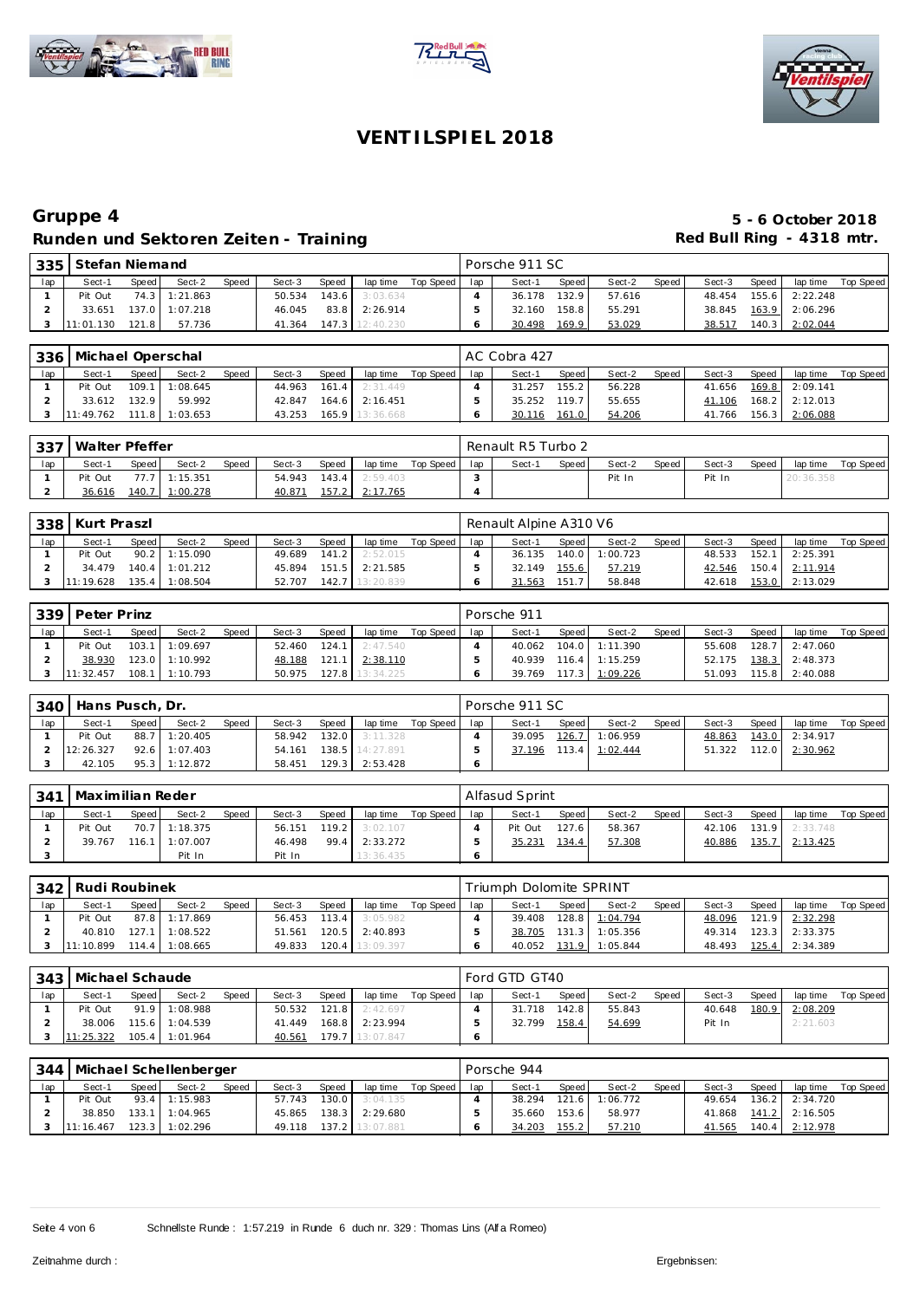





|                 |           | l 335   Stefan Niemand<br>Speed<br><b>Speed</b><br><b>Speed</b><br>Sect-2<br>Sect-3<br>$143.6$ 3:03.634<br>74.3 1:21.863<br>50.534 |                |  |        |  |                 |           |     | Porsche 911 SC |       |        |       |        |       |                |           |
|-----------------|-----------|------------------------------------------------------------------------------------------------------------------------------------|----------------|--|--------|--|-----------------|-----------|-----|----------------|-------|--------|-------|--------|-------|----------------|-----------|
| 1a <sub>D</sub> | Sect-1    |                                                                                                                                    |                |  |        |  | lap time        | Top Speed | lap | Sect-1         | Speed | Sect-2 | Speed | Sect-3 | Speed | lap time       | Top Speed |
|                 | Pit Out   |                                                                                                                                    |                |  |        |  |                 |           |     | 36.178         | 132.9 | 57.616 |       | 48.454 |       | 155.6 2:22.248 |           |
|                 | 33.651    |                                                                                                                                    | 137.0 1:07.218 |  | 46.045 |  | 83.8 2:26.914   |           |     | 32.160         | 158.8 | 55.291 |       | 38.845 |       | 163.9 2:06.296 |           |
|                 | 11:01.130 | 121.81                                                                                                                             | 57.736         |  | 41.364 |  | 147.3 12:40.230 |           |     | 30.498         | 169.9 | 53.029 |       | 38.517 | 140.3 | 2:02.044       |           |

| 336 |           | Michael Operschal<br>Speed<br>Speed<br>Speed<br>Sect-2<br>Sect-3<br>lap time<br>Sect-1<br>$109.1$ 1:08.645<br>Pit Out<br>161.4<br>44.963<br>2:31.449<br>$164.6$ 2:16.451 |                  |  |        |  |                 |           |     | AC Cobra 427 |                    |        |       |        |                   |                |           |
|-----|-----------|--------------------------------------------------------------------------------------------------------------------------------------------------------------------------|------------------|--|--------|--|-----------------|-----------|-----|--------------|--------------------|--------|-------|--------|-------------------|----------------|-----------|
| lap |           |                                                                                                                                                                          |                  |  |        |  |                 | Top Speed | lap | Sect-1       | Speed              | Sect-2 | Speed | Sect-3 | Speed             | lap time       | Top Speed |
|     |           |                                                                                                                                                                          |                  |  |        |  |                 |           |     | 31.257       | 155.2 <sub>1</sub> | 56.228 |       | 41.656 |                   | 169.8 2:09.141 |           |
|     | 33.612    | 132.9                                                                                                                                                                    | 59.992           |  | 42.847 |  |                 |           |     | 35.252       | 119.7              | 55.655 |       | 41.106 |                   | 168.2 2:12.013 |           |
|     | 11:49.762 |                                                                                                                                                                          | $111.8$ 1:03.653 |  | 43.253 |  | 165.9 13:36.668 |           |     | 30.116       | 161.0              | 54.206 |       | 41.766 | $156.3 \text{ l}$ | 2:06.088       |           |

| 337 | Walter Pfeffer |       |                |       |        |       |                       |             |     | Renault R5 Turbo 2 |       |        |         |        |       |           |           |
|-----|----------------|-------|----------------|-------|--------|-------|-----------------------|-------------|-----|--------------------|-------|--------|---------|--------|-------|-----------|-----------|
| lap | Sect-1         | Speed | Sect-2         | Speed | Sect-3 | Speed | lap time              | Top Speed I | lap | Sect-1             | Speed | Sect-2 | Speed I | Sect-3 | Speed | lap time  | Top Speed |
|     | Pit Out        |       | 77.7 1:15.351  |       | 54.943 |       | $143.4$ 2:59.403      |             |     |                    |       | Pit In |         | Pit In |       | 20:36.358 |           |
|     | 36.616         |       | 140.7 1:00.278 |       | 40.871 |       | <u>157.2 2:17.765</u> |             |     |                    |       |        |         |        |       |           |           |

| 338 | Kurt Praszl |       |                |              |        |       |                 |           |     | Renault Alpine A310 V6 |       |          |       |        |       |          |           |
|-----|-------------|-------|----------------|--------------|--------|-------|-----------------|-----------|-----|------------------------|-------|----------|-------|--------|-------|----------|-----------|
| lap | Sect-1      | Speed | Sect-2         | <b>Speed</b> | Sect-3 | Speed | lap time        | Top Speed | lap | Sect-1                 | Speed | Sect-2   | Speed | Sect-3 | Speed | lap time | Top Speed |
|     | Pit Out     |       | 90.2 1:15.090  |              | 49.689 | 141.2 | 2:52.015        |           |     | 36.135                 | 140.0 | 1:00.723 |       | 48.533 | 152.1 | 2:25.391 |           |
|     | 34.479      |       | 140.4 1:01.212 |              | 45.894 | 151.5 | 2:21.585        |           |     | 32.149                 | 155.6 | 57.219   |       | 42.546 | 150.4 | 2:11.914 |           |
|     | 11:19.628   | 135.4 | 1:08.504       |              | 52.707 |       | 142.7 13:20.839 |           |     | 31.563                 | 151.7 | 58.848   |       | 42.618 | 153.0 | 2:13.029 |           |

| 339 | Peter Prinz |       |                  |       |        |       |                        |           |     | Porsche 911 |           |                  |       |        |       |          |                  |
|-----|-------------|-------|------------------|-------|--------|-------|------------------------|-----------|-----|-------------|-----------|------------------|-------|--------|-------|----------|------------------|
| lap | Sect-1      | Speed | Sect-2           | Speed | Sect-3 | Speed | lap time               | Top Speed | lap | Sect-1      | Speed     | Sect-2           | Speed | Sect-3 | Speed | lap time | <b>Top Speed</b> |
|     | Pit Out     |       | $103.1$ 1:09.697 |       | 52.460 | 124.1 | 2:47.540               |           |     | 40.062      | 104.0     | 1:11.390         |       | 55.608 | 128.7 | 2:47.060 |                  |
|     | 38.930      |       | 123.0 1:10.992   |       | 48.188 | 121.1 | 2:38.110               |           |     | 40.939      |           | $116.4$ 1:15.259 |       | 52.175 | 138.3 | 2:48.373 |                  |
|     | 11:32.457   | 108.1 | 1:10.793         |       | 50.975 |       | <b>127.8</b> 13:34.225 |           |     | 39.769      | $117.3$ I | 1:09.226         |       | 51.093 | 115.8 | 2:40.088 |                  |

| 340 | Hans Pusch, Dr. |       |                 |              |        |       |                 |           |     | Porsche 911 SC |         |                  |       |        |       |                |           |
|-----|-----------------|-------|-----------------|--------------|--------|-------|-----------------|-----------|-----|----------------|---------|------------------|-------|--------|-------|----------------|-----------|
| lap | Sect-1          | Speed | Sect-2          | <b>Speed</b> | Sect-3 | Speed | lap time        | Top Speed | lap | Sect-1         | Speed I | Sect-2           | Speed | Sect-3 | Speed | lap time       | Top Speed |
|     | Pit Out         |       | 88.7 1:20.405   |              | 58.942 | 132.0 | 3:11.328        |           |     | 39.095         |         | 126.7 1:06.959   |       | 48.863 |       | 143.0 2:34.917 |           |
|     | 12:26.327       |       | $92.6$ 1:07.403 |              | 54.161 |       | 138.5 14:27.891 |           |     | 37.196         |         | $113.4$ 1:02.444 |       | 51.322 | 112.0 | 2:30.962       |           |
|     | 42.105          |       | 95.3 1:12.872   |              | 58.451 | 129.3 | 2:53.428        |           |     |                |         |                  |       |        |       |                |           |

| -341 | Maximilian Reder |       |                  |       |        |       |           |           |     | Alfasud Sprint |         |        |       |        |       |                  |           |
|------|------------------|-------|------------------|-------|--------|-------|-----------|-----------|-----|----------------|---------|--------|-------|--------|-------|------------------|-----------|
| lap  | Sect-1           | Speed | Sect-2           | Speed | Sect-3 | Speed | lap time  | Top Speed | lap | Sect-1         | Speed I | Sect-2 | Speed | Sect-3 | Speed | lap time         | Top Speed |
|      | Pit Out          |       | 70.7 1:18.375    |       | 56.151 | 119.2 | 3:02.107  |           |     | Pit Out        | 127.6   | 58.367 |       | 42.106 |       | $131.9$ 2:33.748 |           |
|      | 39.767           |       | $116.1$ 1:07.007 |       | 46.498 | 99.4  | 2:33.272  |           |     | 35.231         | 134.4   | 57.308 |       | 40.886 | 135.7 | 2:13.425         |           |
|      |                  |       | Pit In           |       | Pit In |       | 13:36.435 |           |     |                |         |        |       |        |       |                  |           |

|     |           | 342 Rudi Roubinek<br>Speed<br>Sect-2<br><b>Speed</b><br>Sect-3<br>Sect-1<br>Speed I<br>87.8 1:17.869<br>Pit Out<br>56.453<br>113.4<br>127.1 1:08.522 |                  |  |        |       |                 |             |     | Triumph Dolomite SPRINT |         |                |       |        |       |          |           |
|-----|-----------|------------------------------------------------------------------------------------------------------------------------------------------------------|------------------|--|--------|-------|-----------------|-------------|-----|-------------------------|---------|----------------|-------|--------|-------|----------|-----------|
| lap |           |                                                                                                                                                      |                  |  |        |       | lap time        | Top Speed I | lap | Sect-1                  | Speed I | Sect-2         | Speed | Sect-3 | Speed | lap time | Top Speed |
|     |           |                                                                                                                                                      |                  |  |        |       | 3:05.982        |             |     | 39.408                  |         | 128.8 1:04.794 |       | 48.096 | 121.9 | 2:32.298 |           |
|     | 40.810    |                                                                                                                                                      |                  |  | 51.561 | 120.5 | 2:40.893        |             |     | 38.705                  | 131.3   | 1:05.356       |       | 49.314 | 123.3 | 2:33.375 |           |
|     | 11:10.899 |                                                                                                                                                      | $114.4$ 1:08.665 |  | 49.833 |       | 120.4 13:09.397 |             |     | 40.052                  | 131.9   | 1:05.844       |       | 48.493 | 125.4 | 2:34.389 |           |

|     | 343   Michael Schaude |       |                  |       |        |       |                 |           |     | Ford GTD GT40 |       |        |       |        |       |          |           |
|-----|-----------------------|-------|------------------|-------|--------|-------|-----------------|-----------|-----|---------------|-------|--------|-------|--------|-------|----------|-----------|
| lap | Sect-1                | Speed | Sect-2           | Speed | Sect-3 | Speed | lap time        | Top Speed | lap | Sect-1        | Speed | Sect-2 | Speed | Sect-3 | Speed | lap time | Top Speed |
|     | Pit Out               |       | 91.9 1:08.988    |       | 50.532 | 121.8 | 2:42.697        |           |     | 31.718        | 142.8 | 55.843 |       | 40.648 | 180.9 | 2:08.209 |           |
|     | 38.006                |       | $115.6$ 1:04.539 |       | 41.449 |       | 168.8 2:23.994  |           |     | 32.799        | 158.4 | 54.699 |       | Pit In |       | 2:21.603 |           |
|     | 11:25.322             |       | 105.4 1:01.964   |       | 40.561 |       | 179.7 13:07.847 |           |     |               |       |        |       |        |       |          |           |

|     | 344   Michael Schellenberger |       |                |       |        |       |                       |           |     | Porsche 944 |       |                |       |        |       |                       |           |
|-----|------------------------------|-------|----------------|-------|--------|-------|-----------------------|-----------|-----|-------------|-------|----------------|-------|--------|-------|-----------------------|-----------|
| lap | Sect-1                       | Speed | Sect-2         | Speed | Sect-3 | Speed | lap time              | Top Speed | lap | Sect-1      | Speed | Sect-2         | Speed | Sect-3 | Speed | lap time              | Top Speed |
|     | Pit Out                      |       | 93.4 1:15.983  |       | 57.743 |       | 130.0 3:04.135        |           |     | 38.294      |       | 121.6 1:06.772 |       | 49.654 |       | $136.2$ 2:34.720      |           |
|     | 38.850                       |       | 133.1 1:04.965 |       |        |       | 45.865 138.3 2:29.680 |           |     | 35.660      | 153.6 | 58.977         |       |        |       | 41.868 141.2 2:16.505 |           |
|     | 11:16.467                    |       | 123.3 1:02.296 |       | 49.118 |       | 137.2 13:07.881       |           |     | 34.203      | 155.2 | 57.210         |       | 41.565 |       | 140.4 2:12.978        |           |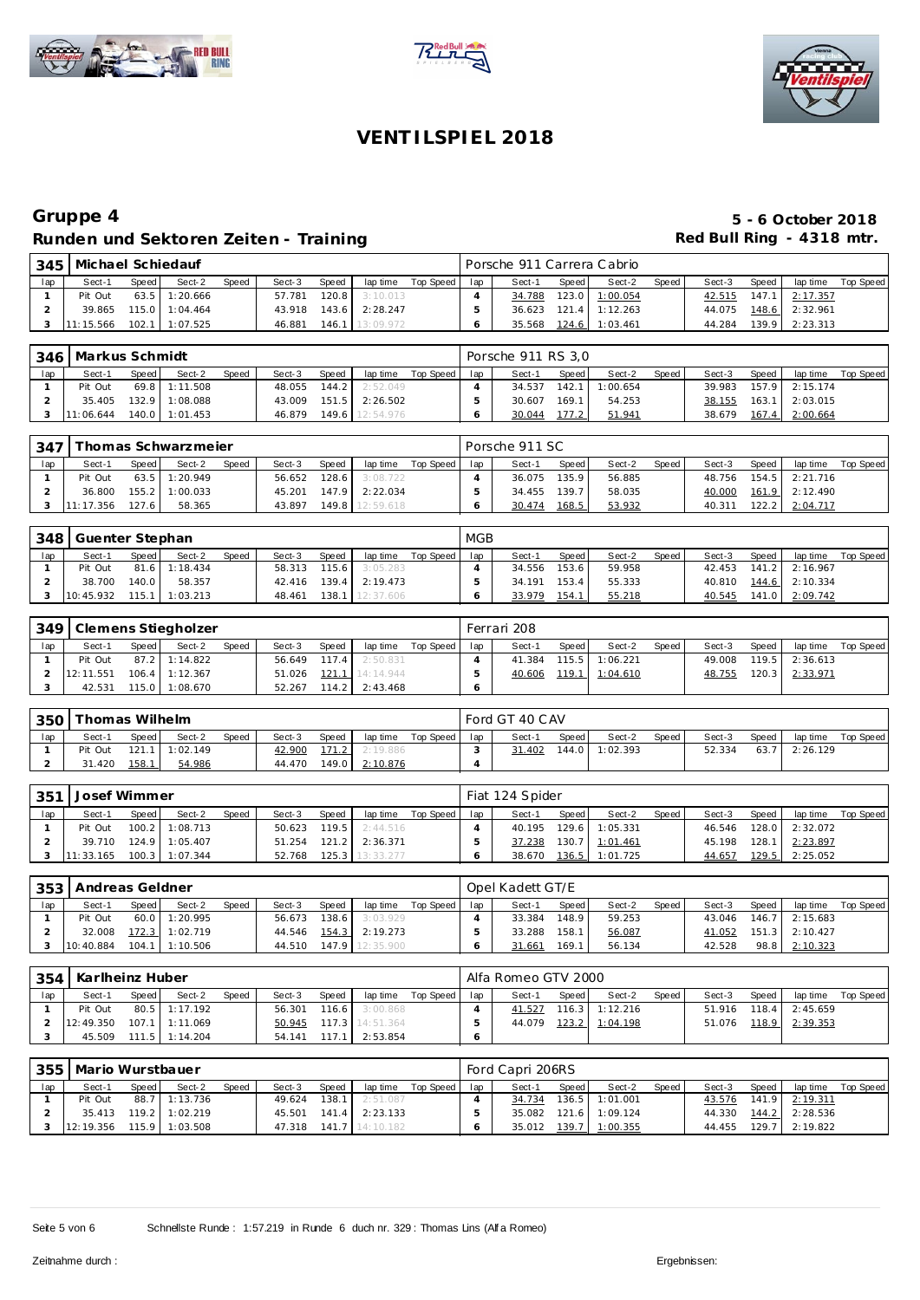





| 345 | Michael Schiedauf |       |                  |              |        |              |            |           |     | Porsche 911 Carrera Cabrio |       |                  |       |        |       |                |           |
|-----|-------------------|-------|------------------|--------------|--------|--------------|------------|-----------|-----|----------------------------|-------|------------------|-------|--------|-------|----------------|-----------|
| lap | Sect-1            | Speed | Sect-2           | <b>Speed</b> | Sect-3 | <b>Speed</b> | lap time   | Top Speed | lap | Sect-1                     | Speed | Sect-2           | Speed | Sect-3 | Speed | lap time       | Top Speed |
|     | Pit Out           |       | $63.5$ 1:20.666  |              | 57.781 | 120.8        | 3:10.013   |           |     | 34.788                     |       | 123.0 1:00.054   |       | 42.515 | 147.1 | 2:17.357       |           |
|     | 39.865            |       | $115.0$ 1:04.464 |              | 43.918 | 143.6        | 2:28.247   |           |     | 36.623                     |       | $121.4$ 1:12.263 |       | 44.075 |       | 148.6 2:32.961 |           |
|     | 11:15.566         |       | $102.1$ 1:07.525 |              | 46.881 | 146.1        | 113:09.972 |           |     | 35.568                     | 124.6 | 1:03.461         |       | 44.284 | 139.9 | 2:23.313       |           |

|     | 346   Markus Schmidt |       |                |              |        |       |                 |           |     | Porsche 911 RS 3.0 |       |          |       |        |       |                  |           |
|-----|----------------------|-------|----------------|--------------|--------|-------|-----------------|-----------|-----|--------------------|-------|----------|-------|--------|-------|------------------|-----------|
| lap | Sect-1               | Speed | Sect-2         | <b>Speed</b> | Sect-3 | Speed | lap time        | Top Speed | lap | Sect-1             | Speed | Sect-2   | Speed | Sect-3 | Speed | lap time         | Top Speed |
|     | Pit Out              |       | 69.8 1:11.508  |              | 48.055 | 144.2 | 2:52.049        |           |     | 34.537             | 142.1 | 1:00.654 |       | 39.983 |       | 157.9 2:15.174   |           |
|     | 35.405               |       | 132.9 1:08.088 |              | 43.009 |       | 151.5 2:26.502  |           |     | 30.607             | 169.1 | 54.253   |       | 38.155 |       | $163.1$ 2:03.015 |           |
|     | 11:06.644            |       | 140.0 1:01.453 |              | 46.879 |       | 149.6 12:54.976 |           |     | 30.044             | 177.2 | 51.941   |       | 38.679 |       | 167.4 2:00.664   |           |

| 347 |           |         | Thomas Schwarzmeier |       |        |       |                 |           |     | Porsche 911 SC |        |        |       |        |       |                  |           |
|-----|-----------|---------|---------------------|-------|--------|-------|-----------------|-----------|-----|----------------|--------|--------|-------|--------|-------|------------------|-----------|
| lap | Sect-1    | Speed   | Sect-2              | Speed | Sect-3 | Speed | lap time        | Top Speed | lap | Sect-1         | Speed  | Sect-2 | Speed | Sect-3 | Speed | lap time         | Top Speed |
|     | Pit Out   |         | $63.5$ 1:20.949     |       | 56.652 |       | 128.6 3:08.722  |           |     | 36.075         | 135.91 | 56.885 |       | 48.756 |       | $154.5$ 2:21.716 |           |
|     | 36.800    |         | 155.2 1:00.033      |       | 45.201 |       | 147.9 2:22.034  |           |     | 34.455         | 139.7  | 58.035 |       | 40.000 |       | 161.9 2:12.490   |           |
|     | 11:17.356 | $127.6$ | 58.365              |       | 43.897 |       | 149.8 12:59.618 |           |     | 30.474         | 168.5  | 53.932 |       | 40.311 | 122.2 | 2:04.717         |           |

| 348 | Guenter Stephan |       |                  |       |        |       |                       |           | <b>MGB</b> |        |       |        |       |        |       |                |           |
|-----|-----------------|-------|------------------|-------|--------|-------|-----------------------|-----------|------------|--------|-------|--------|-------|--------|-------|----------------|-----------|
| lap | Sect-1          | Speed | Sect-2           | Speed | Sect-3 | Speed | lap time              | Top Speed | lap        | Sect-1 | Speed | Sect-2 | Speed | Sect-3 | Speed | lap time       | Top Speed |
|     | Pit Out         |       | 81.6 1:18.434    |       | 58.313 | 115.6 | 3:05.283              |           |            | 34.556 | 153.6 | 59.958 |       | 42.453 |       | 141.2 2:16.967 |           |
|     | 38.700          | 140.0 | 58.357           |       |        |       | 42.416 139.4 2:19.473 |           |            | 34.191 | 153.4 | 55.333 |       | 40.810 |       | 144.6 2:10.334 |           |
|     | 10:45.932       |       | $115.1$ 1:03.213 |       | 48.461 |       | 138.1 12:37.606       |           |            | 33.979 | 154.1 | 55.218 |       | 40.545 |       | 141.0 2:09.742 |           |

|     | 349 Clemens Stiegholzer |         |                  |       |              |       |                 |           |     | Ferrari 208 |         |                |         |        |       |                  |           |
|-----|-------------------------|---------|------------------|-------|--------------|-------|-----------------|-----------|-----|-------------|---------|----------------|---------|--------|-------|------------------|-----------|
| lap | Sect-1                  | Speed I | Sect-2           | Speed | Sect-3       | Speed | lap time        | Top Speed | lap | Sect-1      | Speed I | Sect-2         | Speed I | Sect-3 | Speed | lap time         | Top Speed |
|     | Pit Out                 |         | 87.2 1:14.822    |       | 56.649 117.4 |       | 2:50.831        |           |     | 41.384      |         | 115.5 1:06.221 |         | 49.008 |       | $119.5$ 2:36.613 |           |
|     | 12:11.551               |         | $106.4$ 1:12.367 |       | 51.026       |       | 121.1 14:14.944 |           |     | 40.606      | 119.1   | 1:04.610       |         | 48.755 | 120.3 | 2:33.971         |           |
|     | 42.531                  |         | 115.0 1:08.670   |       | 52.267       | 114.2 | 2:43.468        |           |     |             |         |                |         |        |       |                  |           |

| 350 | Thomas Wilhelm |       |                  |       |        |       |          |           |     | Ford GT 40 CAV |       |          |       |        |              |          |           |
|-----|----------------|-------|------------------|-------|--------|-------|----------|-----------|-----|----------------|-------|----------|-------|--------|--------------|----------|-----------|
| lap | Sect-1         | Speed | Sect-2           | Speed | Sect-3 | Speed | lap time | Top Speed | lap | Sect-1         | Speed | Sect-2   | Speed | Sect-3 | <b>Speed</b> | lap time | Top Speed |
|     | Pit Out        |       | $121.1$ 1:02.149 |       | 42.900 | 171.2 | 2:19.886 |           |     | 31.402         | 144.0 | 1:02.393 |       | 52.334 | 63.7         | 2:26.129 |           |
|     | 31.420         | 158.1 | 54.986           |       | 44.470 | 149.0 | 2:10.876 |           |     |                |       |          |       |        |              |          |           |

| $-351$ | Josef Wimmer |       |                  |              |              |        |                        |           |     | Fiat 124 Spider |       |                |       |        |       |                       |           |
|--------|--------------|-------|------------------|--------------|--------------|--------|------------------------|-----------|-----|-----------------|-------|----------------|-------|--------|-------|-----------------------|-----------|
| lap    | Sect-1       | Speed | Sect-2           | <b>Speed</b> | Sect-3       | Speed. | lap time               | Top Speed | lap | Sect-1          | Speed | Sect-2         | Speed | Sect-3 | Speed | lap time              | Top Speed |
|        | Pit Out      |       | 100.2 1:08.713   |              |              |        | 50.623 119.5 2:44.516  |           |     | 40.195          |       | 129.6 1:05.331 |       | 46.546 |       | 128.0 2:32.072        |           |
|        | 39.710       |       | 124.9 1:05.407   |              | 51.254 121.2 |        | 2:36.371               |           |     | 37.238          |       | 130.7 1:01.461 |       |        |       | 45.198 128.1 2:23.897 |           |
|        | 11:33.165    |       | $100.3$ 1:07.344 |              |              |        | 52.768 125.3 13:33.277 |           |     | 38.670          |       | 136.5 1:01.725 |       | 44.657 |       | 129.5 2:25.052        |           |

|     | 353   Andreas Geldner |       |                  |              |        |         |           |           |     | Opel Kadett GT/E |       |        |       |        |       |          |           |  |  |
|-----|-----------------------|-------|------------------|--------------|--------|---------|-----------|-----------|-----|------------------|-------|--------|-------|--------|-------|----------|-----------|--|--|
| lap | Sect-1                | Speed | Sect-2           | <b>Speed</b> | Sect-3 | Speed   | lap time  | Top Speed | lap | Sect-1           | Speed | Sect-2 | Speed | Sect-3 | Speed | lap time | Top Speed |  |  |
|     | Pit Out               |       | 60.0 1:20.995    |              | 56.673 | $138.6$ | 3:03.929  |           |     | 33.384           | 148.9 | 59.253 |       | 43.046 | 146.7 | 2:15.683 |           |  |  |
|     | 32.008                |       | $172.3$ 1:02.719 |              | 44.546 | 154.3   | 2:19.273  |           |     | 33.288           | 158.1 | 56.087 |       | 41.052 | 151.3 | 2:10.427 |           |  |  |
|     | 10:40.884             |       | $104.1$ 1:10.506 |              | 44.510 | 147.9   | 12:35.900 |           |     | 31.661           | 169.1 | 56.134 |       | 42.528 | 98.8  | 2:10.323 |           |  |  |

| 354 | Karlheinz Huber              |         |                  |       |        |       |                        |           |     | Alfa Romeo GTV 2000 |       |                    |       |        |       |                       |           |  |  |
|-----|------------------------------|---------|------------------|-------|--------|-------|------------------------|-----------|-----|---------------------|-------|--------------------|-------|--------|-------|-----------------------|-----------|--|--|
| lap | Sect-1                       | Speed I | Sect-2           | Speed | Sect-3 | Speed | lap time               | Top Speed | lap | Sect-1              | Speed | Sect-2             | Speed | Sect-3 | Speed | lap time              | Top Speed |  |  |
|     | Pit Out                      |         | 80.5 1:17.192    |       | 56.301 | 116.6 | 3:00.868               |           |     | 41.527              |       | $116.3$   1:12.216 |       |        |       | 51.916 118.4 2:45.659 |           |  |  |
|     | $12:49.350$ $107.1$ 1:11.069 |         |                  |       |        |       | 50.945 117.3 14:51.364 |           |     | 44.079              |       | 123.2 1:04.198     |       |        |       | 51.076 118.9 2:39.353 |           |  |  |
|     | 45.509                       |         | $111.5$ 1:14.204 |       | 54.141 |       | 117.1 2:53.854         |           |     |                     |       |                    |       |        |       |                       |           |  |  |

|     | 355   Mario Wurstbauer |       |                  |       |        |       |                         |           |     | Ford Capri 206RS |       |                |       |        |       |                         |           |  |  |
|-----|------------------------|-------|------------------|-------|--------|-------|-------------------------|-----------|-----|------------------|-------|----------------|-------|--------|-------|-------------------------|-----------|--|--|
| lap | Sect-1                 | Speed | Sect-2           | Speed | Sect-3 | Speed | lap time                | Top Speed | lap | Sect-1           | Speed | Sect-2         | Speed | Sect-3 | Speed | lap time                | Top Speed |  |  |
|     | Pit Out                |       | 88.7 1:13.736    |       | 49.624 | 138.1 | 2:51.087                |           |     | 34.734           |       | 136.5 1:01.001 |       | 43.576 |       | 141.9 2:19.311          |           |  |  |
|     | 35.413                 |       | $119.2$ 1:02.219 |       |        |       | 45.501  141.4  2:23.133 |           |     | 35.082           |       | 121.6 1:09.124 |       |        |       | 44.330  144.2  2:28.536 |           |  |  |
|     | 12:19.356              |       | $115.9$ 1:03.508 |       | 47.318 |       | 141.7 14:10.182         |           |     | 35.012           |       | 139.7 1:00.355 |       | 44.455 | 129.7 | 2:19.822                |           |  |  |